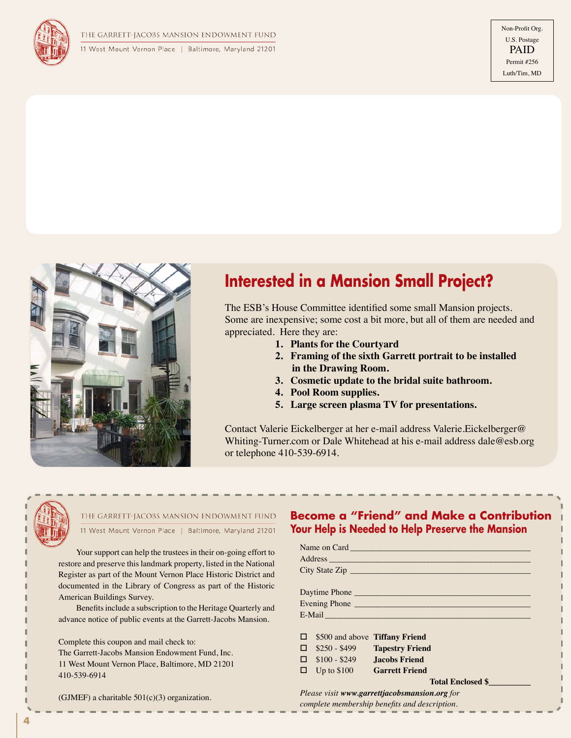



# **Interested in a Mansion Small Project?**

The ESB's House Committee identified some small Mansion projects. Some are inexpensive; some cost a bit more, but all of them are needed and appreciated. Here they are:

- **1. Plants for the Courtyard**
- **2. Framing of the sixth Garrett portrait to be installed in the Drawing Room.**
- **3. Cosmetic update to the bridal suite bathroom.**
- **4. Pool Room supplies.**
- **5. Large screen plasma TV for presentations.**

Contact Valerie Eickelberger at her e-mail address Valerie.Eickelberger@ Whiting-Turner.com or Dale Whitehead at his e-mail address dale@esb.org or telephone 410-539-6914.



#### THE GARRETT-JACOBS MANSION ENDOWMENT FUND 11 West Mount Vernon Place | Baltimore, Maryland 21201

Your support can help the trustees in their on-going effort to restore and preserve this landmark property, listed in the National Register as part of the Mount Vernon Place Historic District and documented in the Library of Congress as part of the Historic American Buildings Survey.

Benefits include a subscription to the Heritage Quarterly and advance notice of public events at the Garrett-Jacobs Mansion.

Complete this coupon and mail check to: The Garrett-Jacobs Mansion Endowment Fund, Inc. 11 West Mount Vernon Place, Baltimore, MD 21201 410-539-6914

(GJMEF) a charitable  $501(c)(3)$  organization.

### **Become a "Friend" and Make a Contribution Your Help is Needed to Help Preserve the Mansion**

| Address and the contract of the contract of the contract of the contract of the contract of the contract of the contract of the contract of the contract of the contract of the contract of the contract of the contract of th |                                    |                                               |  |
|--------------------------------------------------------------------------------------------------------------------------------------------------------------------------------------------------------------------------------|------------------------------------|-----------------------------------------------|--|
| City State Zip                                                                                                                                                                                                                 |                                    |                                               |  |
|                                                                                                                                                                                                                                |                                    |                                               |  |
| Daytime Phone                                                                                                                                                                                                                  |                                    |                                               |  |
| Evening Phone                                                                                                                                                                                                                  |                                    |                                               |  |
| E-Mail Land and the contract of the contract of the contract of the contract of the contract of the contract of the contract of the contract of the contract of the contract of the contract of the contract of the contract o |                                    |                                               |  |
|                                                                                                                                                                                                                                |                                    |                                               |  |
| □                                                                                                                                                                                                                              | \$500 and above Tiffany Friend     |                                               |  |
|                                                                                                                                                                                                                                |                                    | $\Box$ \$250 - \$499 Tapestry Friend          |  |
|                                                                                                                                                                                                                                | $\Box$ \$100 - \$249 Jacobs Friend |                                               |  |
|                                                                                                                                                                                                                                | $\Box$ Up to \$100 Garrett Friend  |                                               |  |
|                                                                                                                                                                                                                                |                                    | <b>Total Enclosed \$</b>                      |  |
|                                                                                                                                                                                                                                |                                    | Please visit www.garrettjacobsmansion.org for |  |
|                                                                                                                                                                                                                                |                                    | complete membership benefits and description. |  |

**4**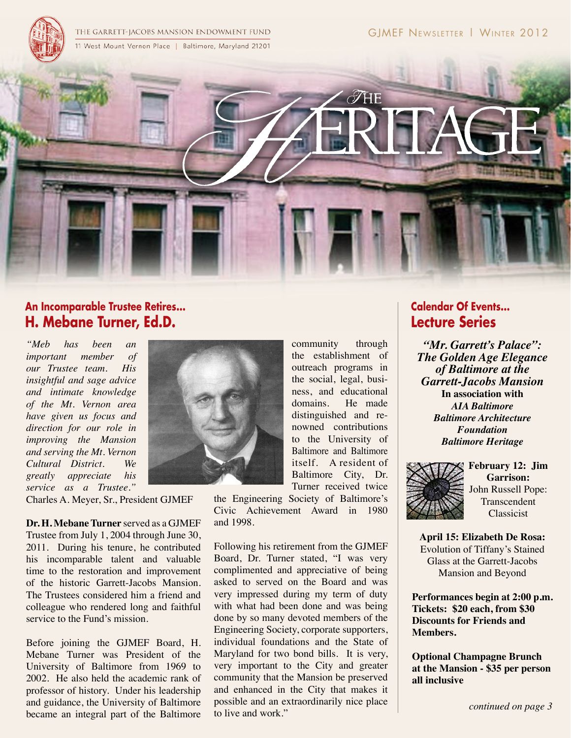

# **An Incomparable Trustee Retires... H. Mebane Turner, Ed.D.**

*"Meb has been an important member of our Trustee team. His insightful and sage advice and intimate knowledge of the Mt. Vernon area have given us focus and direction for our role in improving the Mansion and serving the Mt. Vernon Cultural District. We greatly appreciate his service as a Trustee."* 

Charles A. Meyer, Sr., President GJMEF

**Dr. H. Mebane Turner** served as a GJMEF Trustee from July 1, 2004 through June 30, 2011. During his tenure, he contributed his incomparable talent and valuable time to the restoration and improvement of the historic Garrett-Jacobs Mansion. The Trustees considered him a friend and colleague who rendered long and faithful service to the Fund's mission.

Before joining the GJMEF Board, H. Mebane Turner was President of the University of Baltimore from 1969 to 2002. He also held the academic rank of professor of history. Under his leadership and guidance, the University of Baltimore became an integral part of the Baltimore



Turner received twice the Engineering Society of Baltimore's Civic Achievement Award in 1980 and 1998.

community through the establishment of outreach programs in the social, legal, business, and educational domains. He made distinguished and renowned contributions to the University of Baltimore and Baltimore itself. A resident of Baltimore City, Dr.

Following his retirement from the GJMEF Board, Dr. Turner stated, "I was very complimented and appreciative of being asked to served on the Board and was very impressed during my term of duty with what had been done and was being done by so many devoted members of the Engineering Society, corporate supporters, individual foundations and the State of Maryland for two bond bills. It is very, very important to the City and greater community that the Mansion be preserved and enhanced in the City that makes it possible and an extraordinarily nice place to live and work."

# **Calendar Of Events... Lecture Series**

*"Mr. Garrett's Palace": The Golden Age Elegance of Baltimore at the Garrett-Jacobs Mansion* **In association with** *AIA Baltimore Baltimore Architecture Foundation Baltimore Heritage*



**February 12: Jim Garrison:**  John Russell Pope: Transcendent Classicist

**April 15: Elizabeth De Rosa:**  Evolution of Tiffany's Stained Glass at the Garrett-Jacobs Mansion and Beyond

**Performances begin at 2:00 p.m. Tickets: \$20 each, from \$30 Discounts for Friends and Members.** 

**Optional Champagne Brunch at the Mansion - \$35 per person all inclusive**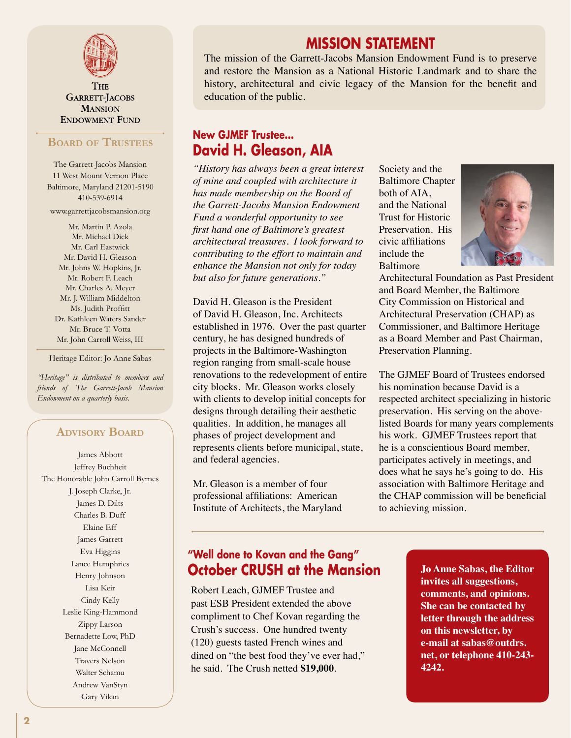

**THE** GARRETT-JACOBS **MANSION ENDOWMENT FUND** 

### **Board of Trustees**

The Garrett-Jacobs Mansion 11 West Mount Vernon Place Baltimore, Maryland 21201-5190 410-539-6914

www.garrettjacobsmansion.org

Mr. Martin P. Azola Mr. Michael Dick Mr. Carl Eastwick Mr. David H. Gleason Mr. Johns W. Hopkins, Jr. Mr. Robert F. Leach Mr. Charles A. Meyer Mr. J. William Middelton Ms. Judith Proffitt Dr. Kathleen Waters Sander Mr. Bruce T. Votta Mr. John Carroll Weiss, III

Heritage Editor: Jo Anne Sabas

*"Heritage" is distributed to members and friends of The Garrett-Jacob Mansion Endowment on a quarterly basis.*

### **Advisory Board**

James Abbott Jeffrey Buchheit The Honorable John Carroll Byrnes J. Joseph Clarke, Jr. James D. Dilts Charles B. Duff Elaine Eff James Garrett Eva Higgins Lance Humphries Henry Johnson Lisa Keir Cindy Kelly Leslie King-Hammond Zippy Larson Bernadette Low, PhD Jane McConnell Travers Nelson Walter Schamu Andrew VanStyn Gary Vikan

### **MISSION STATEMENT**

The mission of the Garrett-Jacobs Mansion Endowment Fund is to preserve and restore the Mansion as a National Historic Landmark and to share the history, architectural and civic legacy of the Mansion for the benefit and education of the public.

### **New GJMEF Trustee... David H. Gleason, AIA**

*"History has always been a great interest of mine and coupled with architecture it has made membership on the Board of the Garrett-Jacobs Mansion Endowment Fund a wonderful opportunity to see first hand one of Baltimore's greatest architectural treasures. I look forward to contributing to the effort to maintain and enhance the Mansion not only for today but also for future generations."*

David H. Gleason is the President of David H. Gleason, Inc. Architects established in 1976. Over the past quarter century, he has designed hundreds of projects in the Baltimore-Washington region ranging from small-scale house renovations to the redevelopment of entire city blocks. Mr. Gleason works closely with clients to develop initial concepts for designs through detailing their aesthetic qualities. In addition, he manages all phases of project development and represents clients before municipal, state, and federal agencies.

Mr. Gleason is a member of four professional affiliations: American Institute of Architects, the Maryland Society and the Baltimore Chapter both of AIA, and the National Trust for Historic Preservation. His civic affiliations include the Baltimore



Architectural Foundation as Past President and Board Member, the Baltimore City Commission on Historical and Architectural Preservation (CHAP) as Commissioner, and Baltimore Heritage as a Board Member and Past Chairman, Preservation Planning.

The GJMEF Board of Trustees endorsed his nomination because David is a respected architect specializing in historic preservation. His serving on the abovelisted Boards for many years complements his work. GJMEF Trustees report that he is a conscientious Board member, participates actively in meetings, and does what he says he's going to do. His association with Baltimore Heritage and the CHAP commission will be beneficial to achieving mission.

# **"Well done to Kovan and the Gang" October CRUSH at the Mansion**

Robert Leach, GJMEF Trustee and past ESB President extended the above compliment to Chef Kovan regarding the Crush's success. One hundred twenty (120) guests tasted French wines and dined on "the best food they've ever had," he said. The Crush netted **\$19,000**.

**Jo Anne Sabas, the Editor invites all suggestions, comments, and opinions. She can be contacted by letter through the address on this newsletter, by e-mail at sabas@outdrs. net, or telephone 410-243- 4242.**